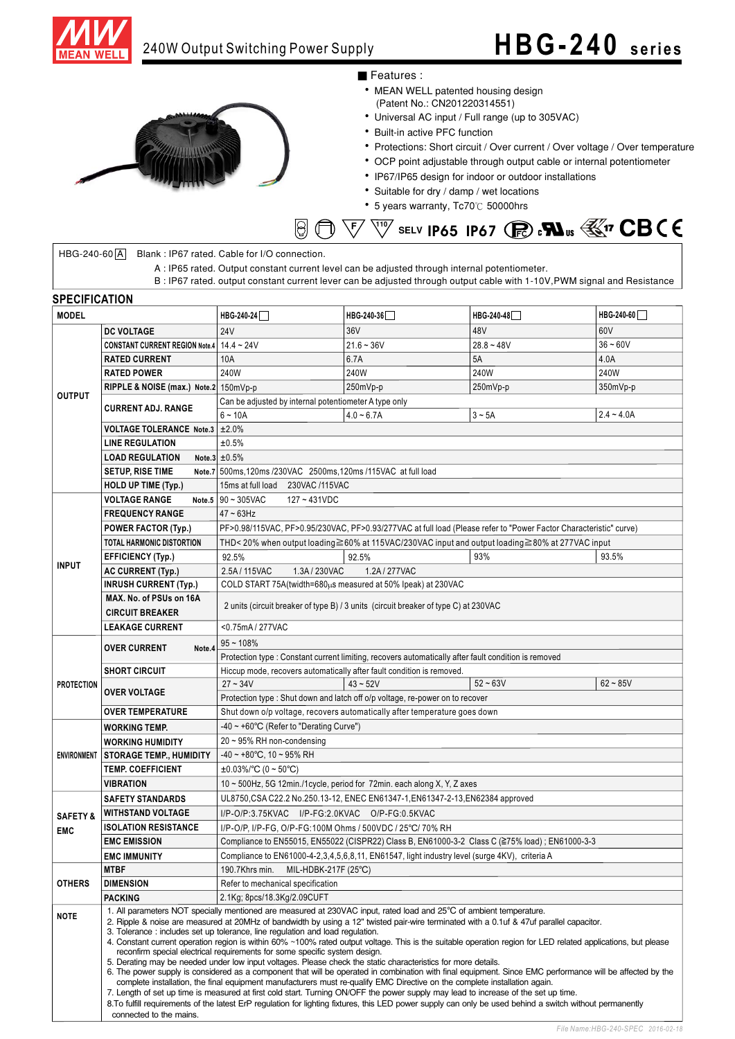



### ■ Features :

- MEAN WELL patented housing design (Patent No.: CN201220314551)
- Universal AC input / Full range (up to 305VAC)
- Built-in active PFC function
- Protections: Short circuit / Over current / Over voltage / Over temperature
- OCP point adjustable through output cable or internal potentiometer
- IP67/IP65 design for indoor or outdoor installations
- Suitable for dry / damp / wet locations
- 5 years warranty, Tc70℃ 50000hrs



 $HBG-240-60[A]$  Blank : IP67 rated. Cable for I/O connection.

A : IP65 rated. Output constant current level can be adjusted through internal potentiometer.

B : IP67 rated. output constant current lever can be adjusted through output cable with 1-10V,PWM signal and Resistance

| SPECIFICATION                     |                                                                                                                                                                                                                                                                                                                                                                                                                                                                                                                                                                                                                                                                                                                                                                                                                                                                                      |                                                                                                                   |                                                                                                                     |              |              |
|-----------------------------------|--------------------------------------------------------------------------------------------------------------------------------------------------------------------------------------------------------------------------------------------------------------------------------------------------------------------------------------------------------------------------------------------------------------------------------------------------------------------------------------------------------------------------------------------------------------------------------------------------------------------------------------------------------------------------------------------------------------------------------------------------------------------------------------------------------------------------------------------------------------------------------------|-------------------------------------------------------------------------------------------------------------------|---------------------------------------------------------------------------------------------------------------------|--------------|--------------|
| <b>MODEL</b>                      |                                                                                                                                                                                                                                                                                                                                                                                                                                                                                                                                                                                                                                                                                                                                                                                                                                                                                      | HBG-240-24                                                                                                        | HBG-240-36                                                                                                          | HBG-240-48   | HBG-240-60   |
| <b>OUTPUT</b>                     | <b>DC VOLTAGE</b>                                                                                                                                                                                                                                                                                                                                                                                                                                                                                                                                                                                                                                                                                                                                                                                                                                                                    | <b>24V</b>                                                                                                        | 36V                                                                                                                 | 48V          | 60V          |
|                                   | CONSTANT CURRENT REGION Note.4 14.4 ~ 24V                                                                                                                                                                                                                                                                                                                                                                                                                                                                                                                                                                                                                                                                                                                                                                                                                                            |                                                                                                                   | $21.6 - 36V$                                                                                                        | $28.8 - 48V$ | $36 - 60V$   |
|                                   | <b>RATED CURRENT</b>                                                                                                                                                                                                                                                                                                                                                                                                                                                                                                                                                                                                                                                                                                                                                                                                                                                                 | 10A                                                                                                               | 6.7A                                                                                                                | 5A           | 4.0A         |
|                                   | <b>RATED POWER</b>                                                                                                                                                                                                                                                                                                                                                                                                                                                                                                                                                                                                                                                                                                                                                                                                                                                                   | 240W                                                                                                              | 240W                                                                                                                | 240W         | 240W         |
|                                   | RIPPLE & NOISE (max.) Note.2 150mVp-p                                                                                                                                                                                                                                                                                                                                                                                                                                                                                                                                                                                                                                                                                                                                                                                                                                                |                                                                                                                   | 250mVp-p                                                                                                            | 250mVp-p     | 350mVp-p     |
|                                   |                                                                                                                                                                                                                                                                                                                                                                                                                                                                                                                                                                                                                                                                                                                                                                                                                                                                                      | Can be adjusted by internal potentiometer A type only                                                             |                                                                                                                     |              |              |
|                                   | <b>CURRENT ADJ. RANGE</b>                                                                                                                                                                                                                                                                                                                                                                                                                                                                                                                                                                                                                                                                                                                                                                                                                                                            | $6 - 10A$                                                                                                         | $4.0 - 6.7A$                                                                                                        | $3 - 5A$     | $2.4 - 4.0A$ |
|                                   | <b>VOLTAGE TOLERANCE Note.3</b>                                                                                                                                                                                                                                                                                                                                                                                                                                                                                                                                                                                                                                                                                                                                                                                                                                                      | ±2.0%                                                                                                             |                                                                                                                     |              |              |
|                                   | <b>LINE REGULATION</b>                                                                                                                                                                                                                                                                                                                                                                                                                                                                                                                                                                                                                                                                                                                                                                                                                                                               | ±0.5%                                                                                                             |                                                                                                                     |              |              |
|                                   | <b>LOAD REGULATION</b>                                                                                                                                                                                                                                                                                                                                                                                                                                                                                                                                                                                                                                                                                                                                                                                                                                                               | Note.3 $\pm 0.5\%$                                                                                                |                                                                                                                     |              |              |
|                                   | <b>SETUP, RISE TIME</b>                                                                                                                                                                                                                                                                                                                                                                                                                                                                                                                                                                                                                                                                                                                                                                                                                                                              | Note.7 500ms, 120ms /230VAC 2500ms, 120ms /115VAC at full load                                                    |                                                                                                                     |              |              |
|                                   | <b>HOLD UP TIME (Typ.)</b>                                                                                                                                                                                                                                                                                                                                                                                                                                                                                                                                                                                                                                                                                                                                                                                                                                                           | 15ms at full load<br>230VAC /115VAC                                                                               |                                                                                                                     |              |              |
|                                   | <b>VOLTAGE RANGE</b>                                                                                                                                                                                                                                                                                                                                                                                                                                                                                                                                                                                                                                                                                                                                                                                                                                                                 | Note.5 $90 - 305$ VAC<br>$127 - 431VDC$                                                                           |                                                                                                                     |              |              |
| <b>INPUT</b>                      | <b>FREQUENCY RANGE</b>                                                                                                                                                                                                                                                                                                                                                                                                                                                                                                                                                                                                                                                                                                                                                                                                                                                               | $47 \sim 63$ Hz                                                                                                   |                                                                                                                     |              |              |
|                                   | <b>POWER FACTOR (Typ.)</b>                                                                                                                                                                                                                                                                                                                                                                                                                                                                                                                                                                                                                                                                                                                                                                                                                                                           | PF>0.98/115VAC, PF>0.95/230VAC, PF>0.93/277VAC at full load (Please refer to "Power Factor Characteristic" curve) |                                                                                                                     |              |              |
|                                   | TOTAL HARMONIC DISTORTION                                                                                                                                                                                                                                                                                                                                                                                                                                                                                                                                                                                                                                                                                                                                                                                                                                                            | THD< 20% when output loading≧60% at 115VAC/230VAC input and output loading≧80% at 277VAC input                    |                                                                                                                     |              |              |
|                                   | <b>EFFICIENCY (Typ.)</b>                                                                                                                                                                                                                                                                                                                                                                                                                                                                                                                                                                                                                                                                                                                                                                                                                                                             | 92.5%                                                                                                             | 92.5%                                                                                                               | 93%          | 93.5%        |
|                                   | <b>AC CURRENT (Typ.)</b>                                                                                                                                                                                                                                                                                                                                                                                                                                                                                                                                                                                                                                                                                                                                                                                                                                                             | 2.5A/115VAC<br>1.3A/230VAC                                                                                        | 1.2A / 277VAC                                                                                                       |              |              |
|                                   | <b>INRUSH CURRENT (Typ.)</b>                                                                                                                                                                                                                                                                                                                                                                                                                                                                                                                                                                                                                                                                                                                                                                                                                                                         | COLD START 75A (twidth=680µs measured at 50% Ipeak) at 230VAC                                                     |                                                                                                                     |              |              |
|                                   | MAX. No. of PSUs on 16A                                                                                                                                                                                                                                                                                                                                                                                                                                                                                                                                                                                                                                                                                                                                                                                                                                                              | 2 units (circuit breaker of type B) / 3 units (circuit breaker of type C) at 230VAC                               |                                                                                                                     |              |              |
|                                   | <b>CIRCUIT BREAKER</b>                                                                                                                                                                                                                                                                                                                                                                                                                                                                                                                                                                                                                                                                                                                                                                                                                                                               |                                                                                                                   |                                                                                                                     |              |              |
|                                   | <b>LEAKAGE CURRENT</b>                                                                                                                                                                                                                                                                                                                                                                                                                                                                                                                                                                                                                                                                                                                                                                                                                                                               | <0.75mA/277VAC                                                                                                    |                                                                                                                     |              |              |
|                                   | <b>OVER CURRENT</b><br>Note.4                                                                                                                                                                                                                                                                                                                                                                                                                                                                                                                                                                                                                                                                                                                                                                                                                                                        | $95 - 108%$                                                                                                       |                                                                                                                     |              |              |
| <b>PROTECTION</b>                 |                                                                                                                                                                                                                                                                                                                                                                                                                                                                                                                                                                                                                                                                                                                                                                                                                                                                                      | Protection type : Constant current limiting, recovers automatically after fault condition is removed              |                                                                                                                     |              |              |
|                                   | <b>SHORT CIRCUIT</b>                                                                                                                                                                                                                                                                                                                                                                                                                                                                                                                                                                                                                                                                                                                                                                                                                                                                 | Hiccup mode, recovers automatically after fault condition is removed.                                             |                                                                                                                     |              |              |
|                                   |                                                                                                                                                                                                                                                                                                                                                                                                                                                                                                                                                                                                                                                                                                                                                                                                                                                                                      | $27 - 34V$                                                                                                        | $43 - 52V$                                                                                                          | $52 - 63V$   | $62 - 85V$   |
|                                   | <b>OVER VOLTAGE</b>                                                                                                                                                                                                                                                                                                                                                                                                                                                                                                                                                                                                                                                                                                                                                                                                                                                                  | Protection type : Shut down and latch off o/p voltage, re-power on to recover                                     |                                                                                                                     |              |              |
|                                   | <b>OVER TEMPERATURE</b>                                                                                                                                                                                                                                                                                                                                                                                                                                                                                                                                                                                                                                                                                                                                                                                                                                                              | Shut down o/p voltage, recovers automatically after temperature goes down                                         |                                                                                                                     |              |              |
|                                   | -40 ~ +60°C (Refer to "Derating Curve")<br><b>WORKING TEMP.</b>                                                                                                                                                                                                                                                                                                                                                                                                                                                                                                                                                                                                                                                                                                                                                                                                                      |                                                                                                                   |                                                                                                                     |              |              |
| <b>ENVIRONMENT</b>                | <b>WORKING HUMIDITY</b>                                                                                                                                                                                                                                                                                                                                                                                                                                                                                                                                                                                                                                                                                                                                                                                                                                                              | 20~95% RH non-condensing                                                                                          |                                                                                                                     |              |              |
|                                   | <b>STORAGE TEMP., HUMIDITY</b>                                                                                                                                                                                                                                                                                                                                                                                                                                                                                                                                                                                                                                                                                                                                                                                                                                                       | $-40 \sim +80^{\circ}$ C, 10 ~ 95% RH                                                                             |                                                                                                                     |              |              |
|                                   | <b>TEMP. COEFFICIENT</b>                                                                                                                                                                                                                                                                                                                                                                                                                                                                                                                                                                                                                                                                                                                                                                                                                                                             | $\pm 0.03\%$ °C (0 ~ 50 °C)                                                                                       |                                                                                                                     |              |              |
|                                   | <b>VIBRATION</b>                                                                                                                                                                                                                                                                                                                                                                                                                                                                                                                                                                                                                                                                                                                                                                                                                                                                     | 10 ~ 500Hz, 5G 12min./1cycle, period for 72min. each along X, Y, Z axes                                           |                                                                                                                     |              |              |
|                                   | <b>SAFETY STANDARDS</b>                                                                                                                                                                                                                                                                                                                                                                                                                                                                                                                                                                                                                                                                                                                                                                                                                                                              | UL8750, CSA C22.2 No.250.13-12, ENEC EN61347-1, EN61347-2-13, EN62384 approved                                    |                                                                                                                     |              |              |
| <b>SAFETY &amp;</b><br><b>EMC</b> | <b>WITHSTAND VOLTAGE</b>                                                                                                                                                                                                                                                                                                                                                                                                                                                                                                                                                                                                                                                                                                                                                                                                                                                             | I/P-O/P:3.75KVAC I/P-FG:2.0KVAC O/P-FG:0.5KVAC                                                                    |                                                                                                                     |              |              |
|                                   | <b>ISOLATION RESISTANCE</b>                                                                                                                                                                                                                                                                                                                                                                                                                                                                                                                                                                                                                                                                                                                                                                                                                                                          | I/P-O/P, I/P-FG, O/P-FG:100M Ohms / 500VDC / 25°C/ 70% RH                                                         |                                                                                                                     |              |              |
|                                   | <b>EMC EMISSION</b>                                                                                                                                                                                                                                                                                                                                                                                                                                                                                                                                                                                                                                                                                                                                                                                                                                                                  | Compliance to EN55015, EN55022 (CISPR22) Class B, EN61000-3-2 Class C (≧75% load) ; EN61000-3-3                   |                                                                                                                     |              |              |
|                                   | <b>EMC IMMUNITY</b>                                                                                                                                                                                                                                                                                                                                                                                                                                                                                                                                                                                                                                                                                                                                                                                                                                                                  | Compliance to EN61000-4-2,3,4,5,6,8,11, EN61547, light industry level (surge 4KV), criteria A                     |                                                                                                                     |              |              |
| <b>OTHERS</b>                     | <b>MTBF</b>                                                                                                                                                                                                                                                                                                                                                                                                                                                                                                                                                                                                                                                                                                                                                                                                                                                                          | 190.7Khrs min.<br>MIL-HDBK-217F $(25^{\circ}C)$                                                                   |                                                                                                                     |              |              |
|                                   | <b>DIMENSION</b>                                                                                                                                                                                                                                                                                                                                                                                                                                                                                                                                                                                                                                                                                                                                                                                                                                                                     | Refer to mechanical specification                                                                                 |                                                                                                                     |              |              |
|                                   | <b>PACKING</b>                                                                                                                                                                                                                                                                                                                                                                                                                                                                                                                                                                                                                                                                                                                                                                                                                                                                       | 2.1Kg; 8pcs/18.3Kg/2.09CUFT                                                                                       |                                                                                                                     |              |              |
|                                   |                                                                                                                                                                                                                                                                                                                                                                                                                                                                                                                                                                                                                                                                                                                                                                                                                                                                                      |                                                                                                                   | 1. All parameters NOT specially mentioned are measured at 230VAC input, rated load and 25°C of ambient temperature. |              |              |
| <b>NOTE</b>                       | 2. Ripple & noise are measured at 20MHz of bandwidth by using a 12" twisted pair-wire terminated with a 0.1uf & 47uf parallel capacitor.<br>3. Tolerance: includes set up tolerance, line regulation and load regulation.<br>4. Constant current operation region is within 60% ~100% rated output voltage. This is the suitable operation region for LED related applications, but please<br>reconfirm special electrical requirements for some specific system design.<br>5. Derating may be needed under low input voltages. Please check the static characteristics for more details.<br>6. The power supply is considered as a component that will be operated in combination with final equipment. Since EMC performance will be affected by the<br>complete installation, the final equipment manufacturers must re-qualify EMC Directive on the complete installation again. |                                                                                                                   |                                                                                                                     |              |              |
|                                   | 7. Length of set up time is measured at first cold start. Turning ON/OFF the power supply may lead to increase of the set up time.<br>8. To fulfill requirements of the latest ErP regulation for lighting fixtures, this LED power supply can only be used behind a switch without permanently<br>connected to the mains.                                                                                                                                                                                                                                                                                                                                                                                                                                                                                                                                                           |                                                                                                                   |                                                                                                                     |              |              |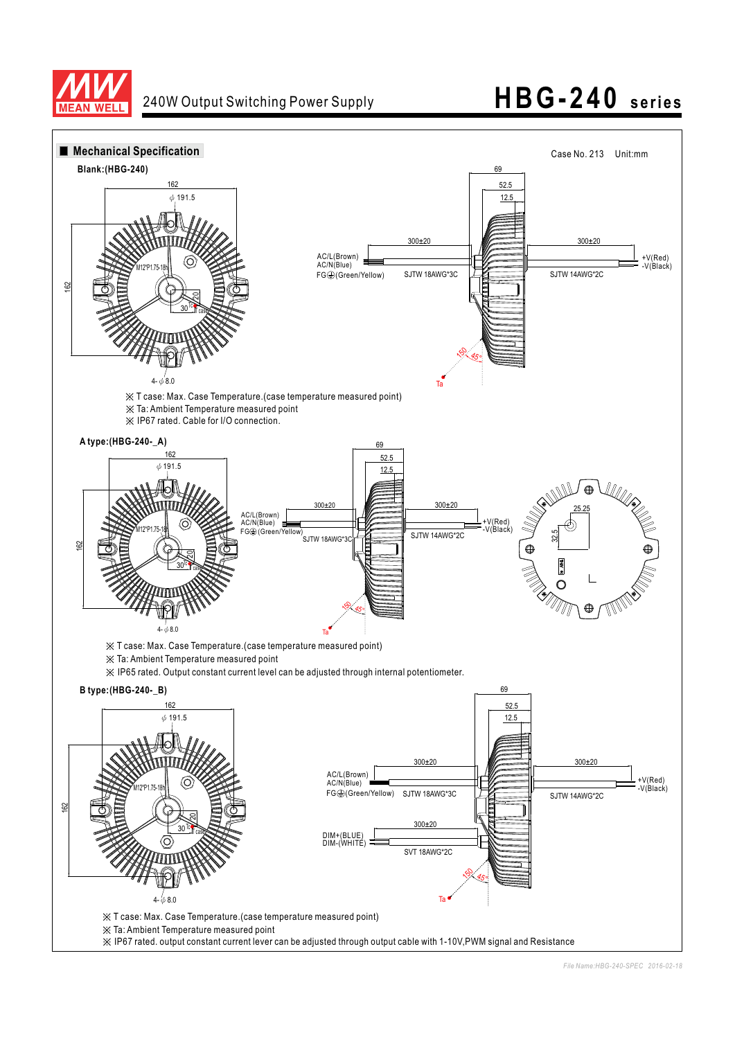

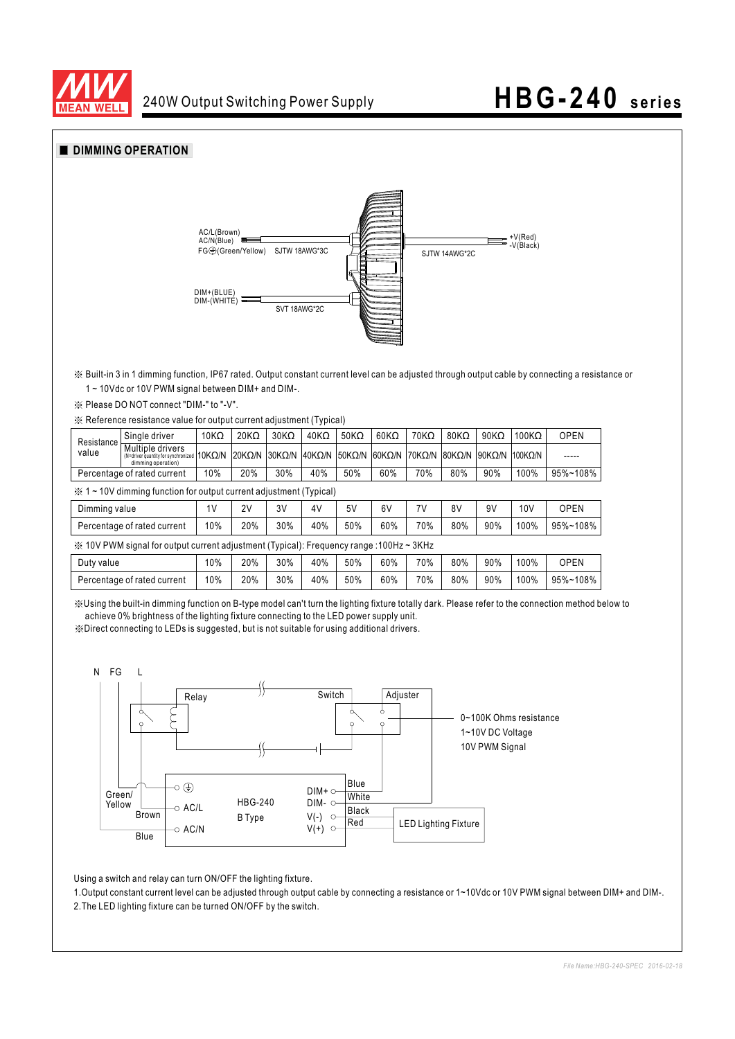



Using a switch and relay can turn ON/OFF the lighting fixture.

 $\circ$  AC/L  $\circ$  AC/N HBG-240 B Type

**Blue** Brown

1. Output constant current level can be adjusted through output cable by connecting a resistance or 1~10Vdc or 10V PWM signal between DIM+ and DIM-.

LED Lighting Fixture

**White** Black Red

DIM- O  $V(-)$  $V(t)$ 

 $\circ$  $\circ$ 

2.The LED lighting fixture can be turned ON/OFF by the switch.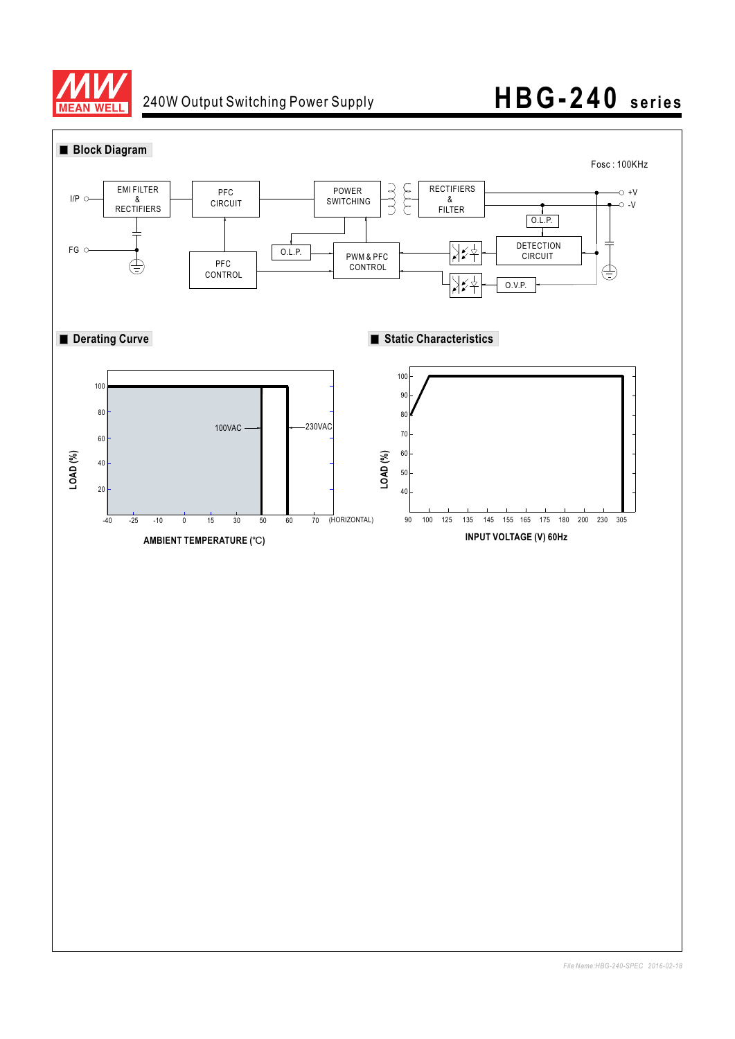

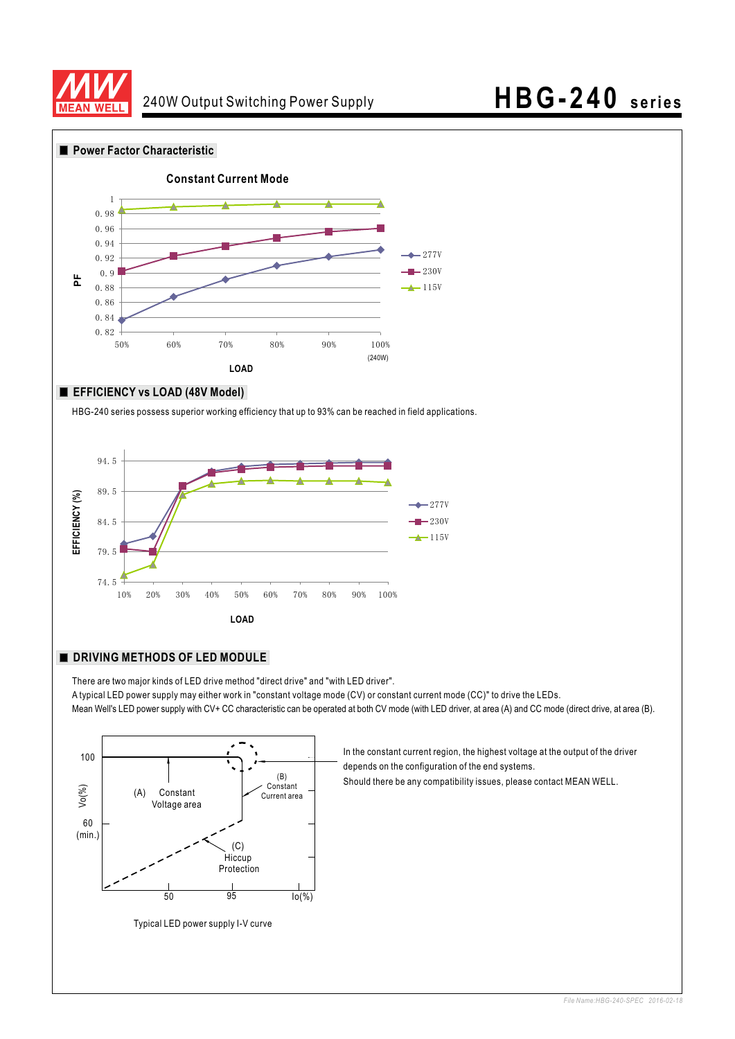



#### **EFFICIENCY vs LOAD (48V Model)**

HBG-240 series possess superior working efficiency that up to 93% can be reached in field applications.



#### **DRIVING METHODS OF LED MODULE**

There are two major kinds of LED drive method "direct drive" and "with LED driver". A typical LED power supply may either work in "constant voltage mode (CV) or constant current mode (CC)" to drive the LEDs. Mean Well's LED power supply with CV+ CC characteristic can be operated at both CV mode (with LED driver, at area (A) and CC mode (direct drive, at area (B).



Typical LED power supply I-V curve

In the constant current region, the highest voltage at the output of the driver depends on the configuration of the end systems.

Should there be any compatibility issues, please contact MEAN WELL.